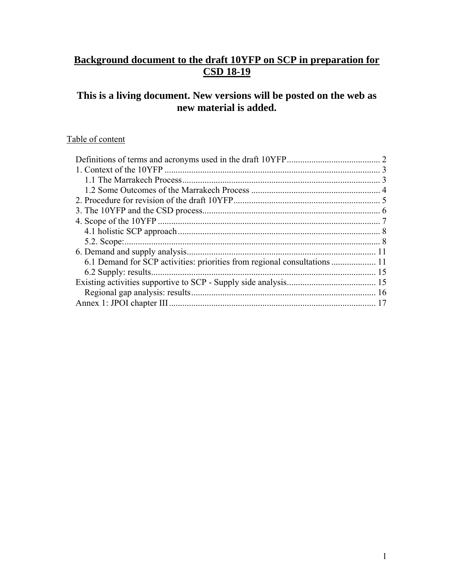# <sup>U</sup>**Background document to the draft 10YFP on SCP in preparation for CSD 18-19**

# **This is a living document. New versions will be posted on the web as new material is added.**

### Table of content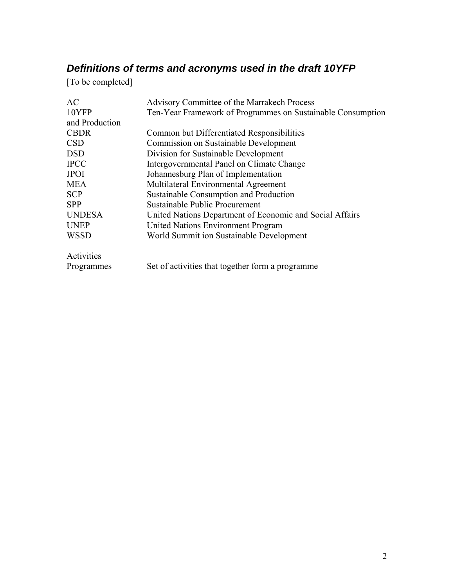# *Definitions of terms and acronyms used in the draft 10YFP*

[To be completed]

| AC.            | Advisory Committee of the Marrakech Process                 |
|----------------|-------------------------------------------------------------|
| 10YFP          | Ten-Year Framework of Programmes on Sustainable Consumption |
| and Production |                                                             |
| <b>CBDR</b>    | Common but Differentiated Responsibilities                  |
| <b>CSD</b>     | Commission on Sustainable Development                       |
| <b>DSD</b>     | Division for Sustainable Development                        |
| <b>IPCC</b>    | Intergovernmental Panel on Climate Change                   |
| <b>JPOI</b>    | Johannesburg Plan of Implementation                         |
| <b>MEA</b>     | Multilateral Environmental Agreement                        |
| <b>SCP</b>     | Sustainable Consumption and Production                      |
| <b>SPP</b>     | Sustainable Public Procurement                              |
| <b>UNDESA</b>  | United Nations Department of Economic and Social Affairs    |
| <b>UNEP</b>    | United Nations Environment Program                          |
| <b>WSSD</b>    | World Summit ion Sustainable Development                    |
| Activities     |                                                             |
| Programmes     | Set of activities that together form a programme.           |
|                |                                                             |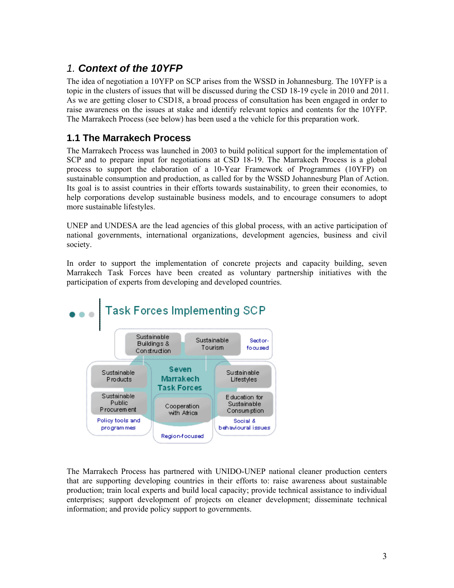# *1. Context of the 10YFP*

The idea of negotiation a 10YFP on SCP arises from the WSSD in Johannesburg. The 10YFP is a topic in the clusters of issues that will be discussed during the CSD 18-19 cycle in 2010 and 2011. As we are getting closer to CSD18, a broad process of consultation has been engaged in order to raise awareness on the issues at stake and identify relevant topics and contents for the 10YFP. The Marrakech Process (see below) has been used a the vehicle for this preparation work.

### **1.1 The Marrakech Process**

The Marrakech Process was launched in 2003 to build political support for the implementation of SCP and to prepare input for negotiations at CSD 18-19. The Marrakech Process is a global process to support the elaboration of a 10-Year Framework of Programmes (10YFP) on sustainable consumption and production, as called for by the WSSD Johannesburg Plan of Action. Its goal is to assist countries in their efforts towards sustainability, to green their economies, to help corporations develop sustainable business models, and to encourage consumers to adopt more sustainable lifestyles.

UNEP and UNDESA are the lead agencies of this global process, with an active participation of national governments, international organizations, development agencies, business and civil society.

In order to support the implementation of concrete projects and capacity building, seven Marrakech Task Forces have been created as voluntary partnership initiatives with the participation of experts from developing and developed countries.



The Marrakech Process has partnered with UNIDO-UNEP national cleaner production centers that are supporting developing countries in their efforts to: raise awareness about sustainable production; train local experts and build local capacity; provide technical assistance to individual enterprises; support development of projects on cleaner development; disseminate technical information; and provide policy support to governments.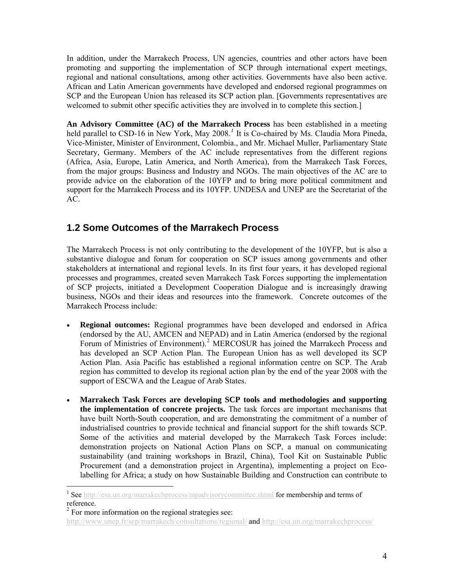In addition, under the Marrakech Process, UN agencies, countries and other actors have been promoting and supporting the implementation of SCP through international expert meetings, regional and national consultations, among other activities. Governments have also been active. African and Latin American governments have developed and endorsed regional programmes on SCP and the European Union has released its SCP action plan. [Governments representatives are welcomed to submit other specific activities they are involved in to complete this section.]

**An Advisory Committee (AC) of the Marrakech Process** has been established in a meeting held parallel to CSD-16 in New York, May 2008.<sup>1</sup> It is Co-chaired by Ms. Claudia Mora Pineda, Vice-Minister, Minister of Environment, Colombia., and Mr. Michael Muller, Parliamentary State Secretary, Germany. Members of the AC include representatives from the different regions (Africa, Asia, Europe, Latin America, and North America), from the Marrakech Task Forces, from the major groups: Business and Industry and NGOs. The main objectives of the AC are to provide advice on the elaboration of the 10YFP and to bring more political commitment and support for the Marrakech Process and its 10YFP. UNDESA and UNEP are the Secretariat of the AC.

### **1.2 Some Outcomes of the Marrakech Process**

The Marrakech Process is not only contributing to the development of the 10YFP, but is also a substantive dialogue and forum for cooperation on SCP issues among governments and other stakeholders at international and regional levels. In its first four years, it has developed regional processes and programmes, created seven Marrakech Task Forces supporting the implementation of SCP projects, initiated a Development Cooperation Dialogue and is increasingly drawing business, NGOs and their ideas and resources into the framework. Concrete outcomes of the Marrakech Process include:

- **Regional outcomes:** Regional programmes have been developed and endorsed in Africa (endorsed by the AU, AMCEN and NEPAD) and in Latin America (endorsed by the regional Forum of Ministries of Environment).<sup>2</sup> MERCOSUR has joined the Marrakech Process and has developed an SCP Action Plan. The European Union has as well developed its SCP Action Plan. Asia Pacific has established a regional information centre on SCP. The Arab region has committed to develop its regional action plan by the end of the year 2008 with the support of ESCWA and the League of Arab States.
- **Marrakech Task Forces are developing SCP tools and methodologies and supporting the implementation of concrete projects.** The task forces are important mechanisms that have built North-South cooperation, and are demonstrating the commitment of a number of industrialised countries to provide technical and financial support for the shift towards SCP. Some of the activities and material developed by the Marrakech Task Forces include: demonstration projects on National Action Plans on SCP, a manual on communicating sustainability (and training workshops in Brazil, China), Tool Kit on Sustainable Public Procurement (and a demonstration project in Argentina), implementing a project on Ecolabelling for Africa; a study on how Sustainable Building and Construction can contribute to

 $\overline{a}$ 

<sup>&</sup>lt;sup>1</sup> See http://esa.un.org/marrakechprocess/mpadvisorycommittee.shtml for membership and terms of reference.

 $2^2$  For more information on the regional strategies see:

http://www.unep.fr/scp/marrakech/consultations/regional/ and http://esa.un.org/marrakechprocess/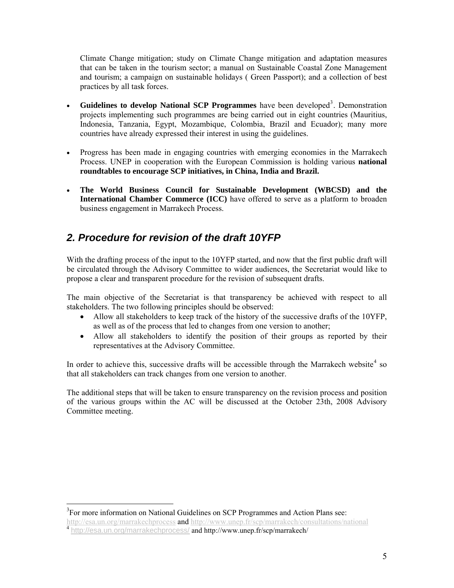Climate Change mitigation; study on Climate Change mitigation and adaptation measures that can be taken in the tourism sector; a manual on Sustainable Coastal Zone Management and tourism; a campaign on sustainable holidays ( Green Passport); and a collection of best practices by all task forces.

- Guidelines to develop National SCP Programmes have been developed<sup>3</sup>. Demonstration projects implementing such programmes are being carried out in eight countries (Mauritius, Indonesia, Tanzania, Egypt, Mozambique, Colombia, Brazil and Ecuador); many more countries have already expressed their interest in using the guidelines.
- Progress has been made in engaging countries with emerging economies in the Marrakech Process. UNEP in cooperation with the European Commission is holding various **national roundtables to encourage SCP initiatives, in China, India and Brazil.**
- **The World Business Council for Sustainable Development (WBCSD) and the International Chamber Commerce (ICC)** have offered to serve as a platform to broaden business engagement in Marrakech Process.

# *2. Procedure for revision of the draft 10YFP*

With the drafting process of the input to the 10YFP started, and now that the first public draft will be circulated through the Advisory Committee to wider audiences, the Secretariat would like to propose a clear and transparent procedure for the revision of subsequent drafts.

The main objective of the Secretariat is that transparency be achieved with respect to all stakeholders. The two following principles should be observed:

- Allow all stakeholders to keep track of the history of the successive drafts of the 10YFP, as well as of the process that led to changes from one version to another;
- Allow all stakeholders to identify the position of their groups as reported by their representatives at the Advisory Committee.

In order to achieve this, successive drafts will be accessible through the Marrakech website<sup>4</sup> so that all stakeholders can track changes from one version to another.

The additional steps that will be taken to ensure transparency on the revision process and position of the various groups within the AC will be discussed at the October 23th, 2008 Advisory Committee meeting.

 $\overline{a}$  $3$  For more information on National Guidelines on SCP Programmes and Action Plans see: http://esa.un.org/marrakechprocess and http://www.unep.fr/scp/marrakech/consultations/national

<sup>&</sup>lt;sup>4</sup> http://esa.un.org/marrakechprocess/ and http://www.unep.fr/scp/marrakech/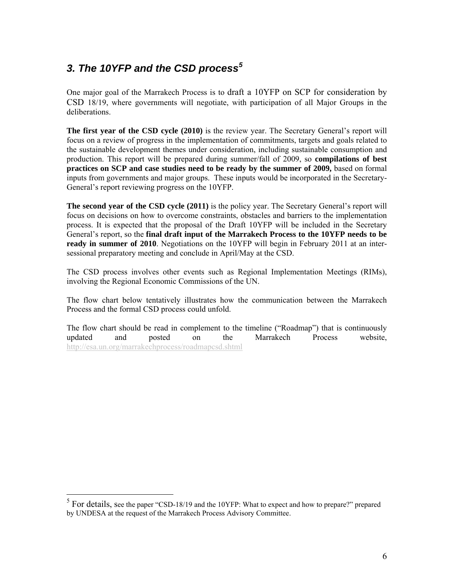# 3. The 10YFP and the CSD process<sup>5</sup>

One major goal of the Marrakech Process is to draft a 10YFP on SCP for consideration by CSD 18/19, where governments will negotiate, with participation of all Major Groups in the deliberations.

**The first year of the CSD cycle (2010)** is the review year. The Secretary General's report will focus on a review of progress in the implementation of commitments, targets and goals related to the sustainable development themes under consideration, including sustainable consumption and production. This report will be prepared during summer/fall of 2009, so **compilations of best practices on SCP and case studies need to be ready by the summer of 2009,** based on formal inputs from governments and major groups. These inputs would be incorporated in the Secretary-General's report reviewing progress on the 10YFP.

**The second year of the CSD cycle (2011)** is the policy year. The Secretary General's report will focus on decisions on how to overcome constraints, obstacles and barriers to the implementation process. It is expected that the proposal of the Draft 10YFP will be included in the Secretary General's report, so the **final draft input of the Marrakech Process to the 10YFP needs to be ready in summer of 2010**. Negotiations on the 10YFP will begin in February 2011 at an intersessional preparatory meeting and conclude in April/May at the CSD.

The CSD process involves other events such as Regional Implementation Meetings (RIMs), involving the Regional Economic Commissions of the UN.

The flow chart below tentatively illustrates how the communication between the Marrakech Process and the formal CSD process could unfold.

The flow chart should be read in complement to the timeline ("Roadmap") that is continuously updated and posted on the Marrakech Process website, http://esa.un.org/marrakechprocess/roadmapcsd.shtml

 $\overline{a}$ 

 $<sup>5</sup>$  For details, see the paper "CSD-18/19 and the 10YFP: What to expect and how to prepare?" prepared</sup> by UNDESA at the request of the Marrakech Process Advisory Committee.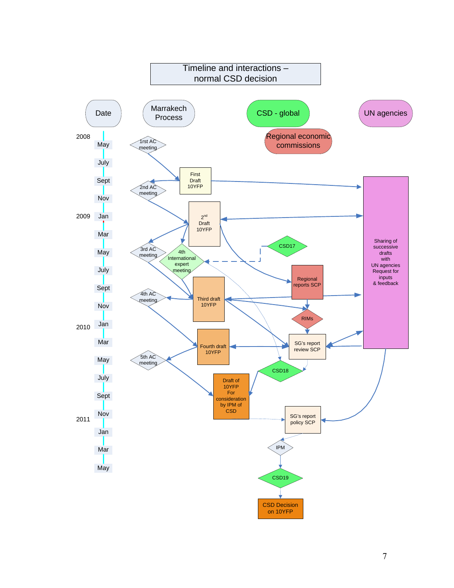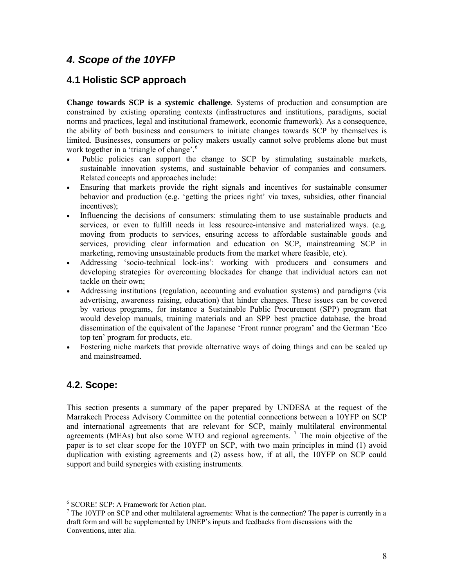## *4. Scope of the 10YFP*

### **4.1 Holistic SCP approach**

**Change towards SCP is a systemic challenge**. Systems of production and consumption are constrained by existing operating contexts (infrastructures and institutions, paradigms, social norms and practices, legal and institutional framework, economic framework). As a consequence, the ability of both business and consumers to initiate changes towards SCP by themselves is limited. Businesses, consumers or policy makers usually cannot solve problems alone but must work together in a 'triangle of change'.<sup>6</sup>

- Public policies can support the change to SCP by stimulating sustainable markets, sustainable innovation systems, and sustainable behavior of companies and consumers. Related concepts and approaches include:
- Ensuring that markets provide the right signals and incentives for sustainable consumer behavior and production (e.g. 'getting the prices right' via taxes, subsidies, other financial incentives);
- Influencing the decisions of consumers: stimulating them to use sustainable products and services, or even to fulfill needs in less resource-intensive and materialized ways. (e.g. moving from products to services, ensuring access to affordable sustainable goods and services, providing clear information and education on SCP, mainstreaming SCP in marketing, removing unsustainable products from the market where feasible, etc).
- Addressing 'socio-technical lock-ins': working with producers and consumers and developing strategies for overcoming blockades for change that individual actors can not tackle on their own;
- Addressing institutions (regulation, accounting and evaluation systems) and paradigms (via advertising, awareness raising, education) that hinder changes. These issues can be covered by various programs, for instance a Sustainable Public Procurement (SPP) program that would develop manuals, training materials and an SPP best practice database, the broad dissemination of the equivalent of the Japanese 'Front runner program' and the German 'Eco top ten' program for products, etc.
- Fostering niche markets that provide alternative ways of doing things and can be scaled up and mainstreamed.

### **4.2. Scope:**

 $\overline{a}$ 

This section presents a summary of the paper prepared by UNDESA at the request of the Marrakech Process Advisory Committee on the potential connections between a 10YFP on SCP and international agreements that are relevant for SCP, mainly multilateral environmental agreements (MEAs) but also some WTO and regional agreements.<sup>7</sup> The main objective of the paper is to set clear scope for the 10YFP on SCP, with two main principles in mind (1) avoid duplication with existing agreements and (2) assess how, if at all, the 10YFP on SCP could support and build synergies with existing instruments.

 $6$  SCORE! SCP: A Framework for Action plan.

 $<sup>7</sup>$  The 10YFP on SCP and other multilateral agreements: What is the connection? The paper is currently in a</sup> draft form and will be supplemented by UNEP's inputs and feedbacks from discussions with the Conventions, inter alia.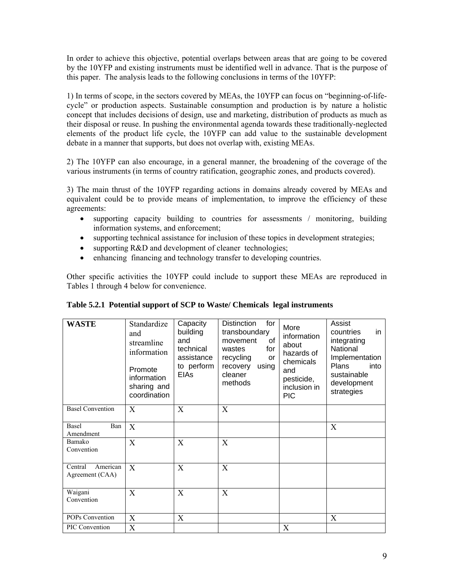In order to achieve this objective, potential overlaps between areas that are going to be covered by the 10YFP and existing instruments must be identified well in advance. That is the purpose of this paper. The analysis leads to the following conclusions in terms of the 10YFP:

1) In terms of scope, in the sectors covered by MEAs, the 10YFP can focus on "beginning-of-lifecycle" or production aspects. Sustainable consumption and production is by nature a holistic concept that includes decisions of design, use and marketing, distribution of products as much as their disposal or reuse. In pushing the environmental agenda towards these traditionally-neglected elements of the product life cycle, the 10YFP can add value to the sustainable development debate in a manner that supports, but does not overlap with, existing MEAs.

2) The 10YFP can also encourage, in a general manner, the broadening of the coverage of the various instruments (in terms of country ratification, geographic zones, and products covered).

3) The main thrust of the 10YFP regarding actions in domains already covered by MEAs and equivalent could be to provide means of implementation, to improve the efficiency of these agreements:

- supporting capacity building to countries for assessments / monitoring, building information systems, and enforcement;
- supporting technical assistance for inclusion of these topics in development strategies;
- supporting R&D and development of cleaner technologies;
- enhancing financing and technology transfer to developing countries.

Other specific activities the 10YFP could include to support these MEAs are reproduced in Tables 1 through 4 below for convenience.

| <b>WASTE</b>                           | Standardize<br>and<br>streamline<br>information<br>Promote<br>information<br>sharing and<br>coordination | Capacity<br>building<br>and<br>technical<br>assistance<br>to perform<br><b>EIAs</b> | <b>Distinction</b><br>for<br>transboundary<br>movement<br>0f<br>for<br>wastes<br>recycling<br>or<br>using<br>recovery<br>cleaner<br>methods | More<br>information<br>about<br>hazards of<br>chemicals<br>and<br>pesticide,<br>inclusion in<br><b>PIC</b> | Assist<br>countries<br>in<br>integrating<br>National<br>Implementation<br><b>Plans</b><br>into<br>sustainable<br>development<br>strategies |
|----------------------------------------|----------------------------------------------------------------------------------------------------------|-------------------------------------------------------------------------------------|---------------------------------------------------------------------------------------------------------------------------------------------|------------------------------------------------------------------------------------------------------------|--------------------------------------------------------------------------------------------------------------------------------------------|
| <b>Basel Convention</b>                | X                                                                                                        | X                                                                                   | X                                                                                                                                           |                                                                                                            |                                                                                                                                            |
| Basel<br>Ban<br>Amendment              | X                                                                                                        |                                                                                     |                                                                                                                                             |                                                                                                            | X                                                                                                                                          |
| Bamako<br>Convention                   | X                                                                                                        | X                                                                                   | X                                                                                                                                           |                                                                                                            |                                                                                                                                            |
| American<br>Central<br>Agreement (CAA) | $\mathbf{X}$                                                                                             | X                                                                                   | X                                                                                                                                           |                                                                                                            |                                                                                                                                            |
| Waigani<br>Convention                  | X                                                                                                        | X                                                                                   | X                                                                                                                                           |                                                                                                            |                                                                                                                                            |
| POPs Convention                        | X                                                                                                        | X                                                                                   |                                                                                                                                             |                                                                                                            | X                                                                                                                                          |
| PIC Convention                         | $\boldsymbol{\mathrm{X}}$                                                                                |                                                                                     |                                                                                                                                             | X                                                                                                          |                                                                                                                                            |

| Table 5.2.1 Potential support of SCP to Waste/ Chemicals legal instruments |  |  |
|----------------------------------------------------------------------------|--|--|
|                                                                            |  |  |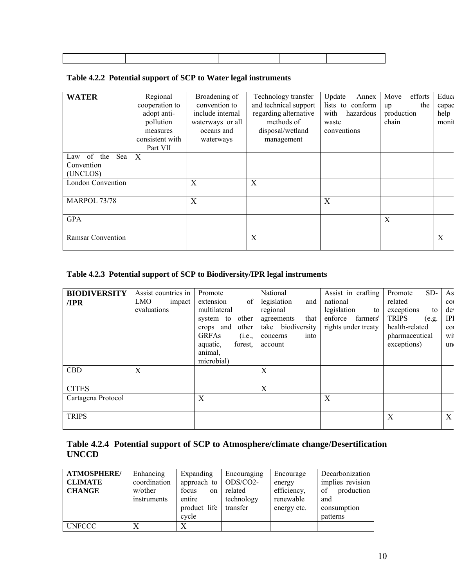| <b>WATER</b>                                      | Regional<br>cooperation to<br>adopt anti-<br>pollution<br>measures<br>consistent with<br>Part VII | Broadening of<br>convention to<br>include internal<br>waterways or all<br>oceans and<br>waterways | Technology transfer<br>and technical support<br>regarding alternative<br>methods of<br>disposal/wetland<br>management | Update<br>Annex<br>lists to conform<br>with<br>hazardous<br>waste<br>conventions | efforts<br>Move<br>the<br>up<br>production<br>chain | <b>Educ</b><br>capac<br>help<br>moni |
|---------------------------------------------------|---------------------------------------------------------------------------------------------------|---------------------------------------------------------------------------------------------------|-----------------------------------------------------------------------------------------------------------------------|----------------------------------------------------------------------------------|-----------------------------------------------------|--------------------------------------|
| of<br>the<br>Sea<br>Law<br>Convention<br>(UNCLOS) | $\mathbf{X}$                                                                                      |                                                                                                   |                                                                                                                       |                                                                                  |                                                     |                                      |
| London Convention                                 |                                                                                                   | X                                                                                                 | X                                                                                                                     |                                                                                  |                                                     |                                      |
| <b>MARPOL 73/78</b>                               |                                                                                                   | X                                                                                                 |                                                                                                                       | Χ                                                                                |                                                     |                                      |
| <b>GPA</b>                                        |                                                                                                   |                                                                                                   |                                                                                                                       |                                                                                  | X                                                   |                                      |
| <b>Ramsar Convention</b>                          |                                                                                                   |                                                                                                   | X                                                                                                                     |                                                                                  |                                                     | X                                    |

#### **Table 4.2.3 Potential support of SCP to Biodiversity/IPR legal instruments**

| <b>BIODIVERSITY</b><br>$\overline{APR}$ | Assist countries in<br>LMO<br>impact<br>evaluations | Promote<br>of<br>extension<br>multilateral<br>other<br>system to<br>crops and<br>other<br><b>GRFAs</b><br>(i.e.,<br>forest.<br>aquatic,<br>animal,<br>microbial) | National<br>legislation<br>and<br>regional<br>that<br>agreements<br>take biodiversity<br>into<br>concerns<br>account | Assist in crafting<br>national<br>legislation<br>to<br>enforce<br>farmers'<br>rights under treaty | SD-<br>Promote<br>related<br>exceptions<br>to<br><b>TRIPS</b><br>(e.g.<br>health-related<br>pharmaceutical<br>exceptions) | As<br>CO <sub>1</sub><br>de<br>IP<br>CO <sub>1</sub><br>wi<br>un |
|-----------------------------------------|-----------------------------------------------------|------------------------------------------------------------------------------------------------------------------------------------------------------------------|----------------------------------------------------------------------------------------------------------------------|---------------------------------------------------------------------------------------------------|---------------------------------------------------------------------------------------------------------------------------|------------------------------------------------------------------|
| <b>CBD</b>                              | X                                                   |                                                                                                                                                                  | X                                                                                                                    |                                                                                                   |                                                                                                                           |                                                                  |
| <b>CITES</b>                            |                                                     |                                                                                                                                                                  | $\boldsymbol{X}$                                                                                                     |                                                                                                   |                                                                                                                           |                                                                  |
| Cartagena Protocol                      |                                                     | X                                                                                                                                                                |                                                                                                                      | X                                                                                                 |                                                                                                                           |                                                                  |
| <b>TRIPS</b>                            |                                                     |                                                                                                                                                                  |                                                                                                                      |                                                                                                   | X                                                                                                                         | X                                                                |

### **Table 4.2.4 Potential support of SCP to Atmosphere/climate change/Desertification UNCCD**

| <b>ATMOSPHERE/</b><br><b>CLIMATE</b><br><b>CHANGE</b> | Enhancing<br>coordination<br>w/other<br>instruments | Expanding<br>approach to<br>focus<br>on<br>entire<br>product life<br>cycle | Encouraging<br>ODS/CO2-<br>related<br>technology<br>transfer | Encourage<br>energy<br>efficiency,<br>renewable<br>energy etc. | Decarbonization<br>implies revision<br>production<br>of<br>and<br>consumption<br>patterns |
|-------------------------------------------------------|-----------------------------------------------------|----------------------------------------------------------------------------|--------------------------------------------------------------|----------------------------------------------------------------|-------------------------------------------------------------------------------------------|
| <b>UNFCCC</b>                                         |                                                     |                                                                            |                                                              |                                                                |                                                                                           |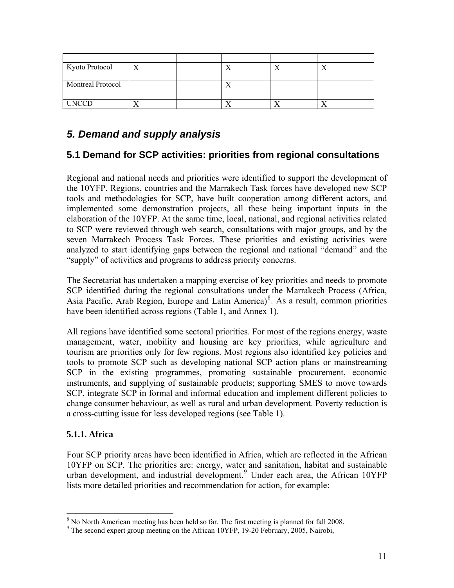| Kyoto Protocol    |  |  |  |
|-------------------|--|--|--|
|                   |  |  |  |
| Montreal Protocol |  |  |  |
|                   |  |  |  |
| <b>UNCCD</b>      |  |  |  |

# *5. Demand and supply analysis*

## **5.1 Demand for SCP activities: priorities from regional consultations**

Regional and national needs and priorities were identified to support the development of the 10YFP. Regions, countries and the Marrakech Task forces have developed new SCP tools and methodologies for SCP, have built cooperation among different actors, and implemented some demonstration projects, all these being important inputs in the elaboration of the 10YFP. At the same time, local, national, and regional activities related to SCP were reviewed through web search, consultations with major groups, and by the seven Marrakech Process Task Forces. These priorities and existing activities were analyzed to start identifying gaps between the regional and national "demand" and the "supply" of activities and programs to address priority concerns.

The Secretariat has undertaken a mapping exercise of key priorities and needs to promote SCP identified during the regional consultations under the Marrakech Process (Africa, Asia Pacific, Arab Region, Europe and Latin America) $8$ . As a result, common priorities have been identified across regions (Table 1, and Annex 1).

All regions have identified some sectoral priorities. For most of the regions energy, waste management, water, mobility and housing are key priorities, while agriculture and tourism are priorities only for few regions. Most regions also identified key policies and tools to promote SCP such as developing national SCP action plans or mainstreaming SCP in the existing programmes, promoting sustainable procurement, economic instruments, and supplying of sustainable products; supporting SMES to move towards SCP, integrate SCP in formal and informal education and implement different policies to change consumer behaviour, as well as rural and urban development. Poverty reduction is a cross-cutting issue for less developed regions (see Table 1).

### **5.1.1. Africa**

 $\overline{a}$ 

Four SCP priority areas have been identified in Africa, which are reflected in the African 10YFP on SCP. The priorities are: energy, water and sanitation, habitat and sustainable urban development, and industrial development.<sup>9</sup> Under each area, the African 10YFP lists more detailed priorities and recommendation for action, for example:

 $8$  No North American meeting has been held so far. The first meeting is planned for fall 2008.

 $9$ <sup>9</sup> The second expert group meeting on the African 10YFP, 19-20 February, 2005, Nairobi,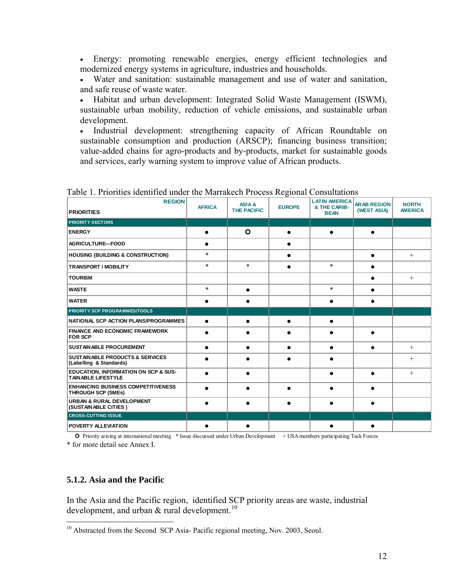• Energy: promoting renewable energies, energy efficient technologies and modernized energy systems in agriculture, industries and households.

• Water and sanitation: sustainable management and use of water and sanitation, and safe reuse of waste water.

• Habitat and urban development: Integrated Solid Waste Management (ISWM), sustainable urban mobility, reduction of vehicle emissions, and sustainable urban development.

• Industrial development: strengthening capacity of African Roundtable on sustainable consumption and production (ARSCP); financing business transition; value-added chains for agro-products and by-products, market for sustainable goods and services, early warning system to improve value of African products.

| <b>REGION</b><br><b>PRIORITIES</b>                                    | <b>AFRICA</b> | ASIA &<br><b>THE PACIFIC</b> | <b>EUROPE</b> | <b>LATIN AMERICA</b><br>& THE CARIB-<br><b>BEAN</b> | <b>ARAB REGION</b><br>(WEST ASIA) | <b>NORTH</b><br><b>AMERICA</b> |
|-----------------------------------------------------------------------|---------------|------------------------------|---------------|-----------------------------------------------------|-----------------------------------|--------------------------------|
| <b>PRIORITY SECTORS</b>                                               |               |                              |               |                                                     |                                   |                                |
| <b>ENERGY</b>                                                         | $\bullet$     | $\circ$                      | $\bullet$     | $\bullet$                                           | $\bullet$                         |                                |
| AGRICULTURE-FOOD                                                      | $\bullet$     |                              | $\bullet$     |                                                     |                                   |                                |
| <b>HOUSING (BUILDING &amp; CONSTRUCTION)</b>                          | *             |                              | $\bullet$     |                                                     | $\bullet$                         | $+$                            |
| <b>TRANSPORT / MOBILITY</b>                                           | *             | $\ast$                       | $\bullet$     | $\ast$                                              |                                   |                                |
| <b>TOURISM</b>                                                        |               |                              |               |                                                     | $\bullet$                         | $^{+}$                         |
| <b>WASTE</b>                                                          | $\ast$        | $\bullet$                    |               | $\ast$                                              |                                   |                                |
| <b>WATER</b>                                                          | $\bullet$     |                              |               | $\bullet$                                           |                                   |                                |
| PRIORITY SCP PROGRAMMES/TOOLS                                         |               |                              |               |                                                     |                                   |                                |
| NATIONAL SCP ACTION PLANS/PROGRAMMES                                  | $\bullet$     |                              |               |                                                     |                                   |                                |
| <b>FINANCE AND ECONOMIC FRAMEWORK</b><br><b>FOR SCP</b>               |               |                              |               |                                                     | ●                                 |                                |
| <b>SUSTAINABLE PROCUREMENT</b>                                        | $\bullet$     | $\bullet$                    | $\bullet$     | $\bullet$                                           | $\bullet$                         | $^{+}$                         |
| <b>SUSTAINABLE PRODUCTS &amp; SERVICES</b><br>(Labelling & Standards) |               |                              |               |                                                     |                                   | $^{+}$                         |
| EDUCATION, INFORMATION ON SCP & SUS-<br><b>TAINABLE LIFESTYLE</b>     |               |                              |               |                                                     | $\bullet$                         | $^{+}$                         |
| <b>ENHANCING BUSINESS COMPETITIVENESS</b><br>THROUGH SCP (SMEs)       |               | ●                            | ●             |                                                     | ●                                 |                                |
| URBAN & RURAL DEVELOPMENT<br>(SUSTAINABLE CITIES)                     |               |                              |               |                                                     |                                   |                                |
| <b>CROSS-CUTTING ISSUE</b>                                            |               |                              |               |                                                     |                                   |                                |
| <b>POVERTY ALLEVIATION</b>                                            |               |                              |               |                                                     |                                   |                                |

Table 1. Priorities identified under the Marrakech Process Regional Consultations

\* for more detail see Annex I. | Priority arising at international meeting \* Issue discussed under Urban Development + USA members participating Task Forces

#### **5.1.2. Asia and the Pacific**

 $\overline{a}$ 

In the Asia and the Pacific region, identified SCP priority areas are waste, industrial development, and urban  $&$  rural development.<sup>10</sup>

 $10$  Abstracted from the Second SCP Asia- Pacific regional meeting, Nov. 2003, Seoul.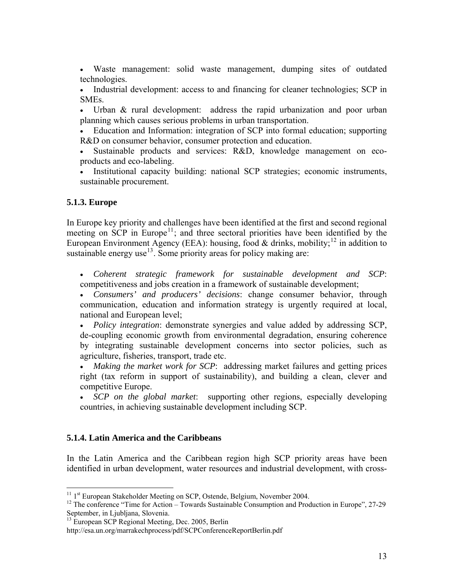• Waste management: solid waste management, dumping sites of outdated technologies.

• Industrial development: access to and financing for cleaner technologies; SCP in SMEs.

• Urban & rural development: address the rapid urbanization and poor urban planning which causes serious problems in urban transportation.

• Education and Information: integration of SCP into formal education; supporting R&D on consumer behavior, consumer protection and education.

• Sustainable products and services: R&D, knowledge management on ecoproducts and eco-labeling.

• Institutional capacity building: national SCP strategies; economic instruments, sustainable procurement.

### **5.1.3. Europe**

 $\overline{a}$ 

In Europe key priority and challenges have been identified at the first and second regional meeting on SCP in Europe<sup>11</sup>; and three sectoral priorities have been identified by the European Environment Agency (EEA): housing, food & drinks, mobility;<sup>12</sup> in addition to sustainable energy use  $13$ . Some priority areas for policy making are:

• *Coherent strategic framework for sustainable development and SCP*: competitiveness and jobs creation in a framework of sustainable development;

• *Consumers' and producers' decisions*: change consumer behavior, through communication, education and information strategy is urgently required at local, national and European level;

• *Policy integration*: demonstrate synergies and value added by addressing SCP, de-coupling economic growth from environmental degradation, ensuring coherence by integrating sustainable development concerns into sector policies, such as agriculture, fisheries, transport, trade etc.

• *Making the market work for SCP*: addressing market failures and getting prices right (tax reform in support of sustainability), and building a clean, clever and competitive Europe.

• *SCP on the global market*: supporting other regions, especially developing countries, in achieving sustainable development including SCP.

#### **5.1.4. Latin America and the Caribbeans**

In the Latin America and the Caribbean region high SCP priority areas have been identified in urban development, water resources and industrial development, with cross-

<sup>&</sup>lt;sup>11</sup> 1<sup>st</sup> European Stakeholder Meeting on SCP, Ostende, Belgium, November 2004.

 $12$  The conference "Time for Action – Towards Sustainable Consumption and Production in Europe", 27-29 September, in Ljubljana, Slovenia.

<sup>&</sup>lt;sup>13</sup> European SCP Regional Meeting, Dec. 2005, Berlin

http://esa.un.org/marrakechprocess/pdf/SCPConferenceReportBerlin.pdf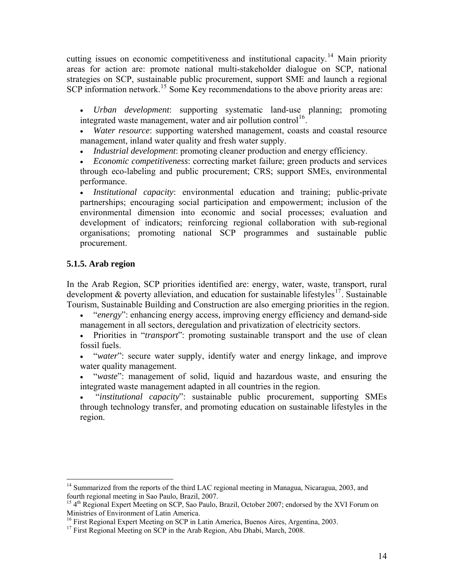cutting issues on economic competitiveness and institutional capacity.<sup>14</sup> Main priority areas for action are: promote national multi-stakeholder dialogue on SCP, national strategies on SCP, sustainable public procurement, support SME and launch a regional SCP information network.<sup>15</sup> Some Key recommendations to the above priority areas are:

• *Urban development*: supporting systematic land-use planning; promoting integrated waste management, water and air pollution control<sup>16</sup>.

• *Water resource*: supporting watershed management, coasts and coastal resource management, inland water quality and fresh water supply.

• *Industrial development*: promoting cleaner production and energy efficiency.

• *Economic competitiveness*: correcting market failure; green products and services through eco-labeling and public procurement; CRS; support SMEs, environmental performance.

• *Institutional capacity*: environmental education and training; public-private partnerships; encouraging social participation and empowerment; inclusion of the environmental dimension into economic and social processes; evaluation and development of indicators; reinforcing regional collaboration with sub-regional organisations; promoting national SCP programmes and sustainable public procurement.

### **5.1.5. Arab region**

In the Arab Region, SCP priorities identified are: energy, water, waste, transport, rural development  $\&$  poverty alleviation, and education for sustainable lifestyles<sup>17</sup>. Sustainable Tourism, Sustainable Building and Construction are also emerging priorities in the region.

• "*energy*": enhancing energy access, improving energy efficiency and demand-side management in all sectors, deregulation and privatization of electricity sectors.

• Priorities in "*transport*": promoting sustainable transport and the use of clean fossil fuels.

• "*water*": secure water supply, identify water and energy linkage, and improve water quality management.

• "*waste*": management of solid, liquid and hazardous waste, and ensuring the integrated waste management adapted in all countries in the region.

• "*institutional capacity*": sustainable public procurement, supporting SMEs through technology transfer, and promoting education on sustainable lifestyles in the region.

 $\overline{a}$ <sup>14</sup> Summarized from the reports of the third LAC regional meeting in Managua, Nicaragua, 2003, and fourth regional meeting in Sao Paulo, Brazil, 2007.

<sup>&</sup>lt;sup>15</sup> 4<sup>th</sup> Regional Expert Meeting on SCP, Sao Paulo, Brazil, October 2007; endorsed by the XVI Forum on Ministries of Environment of Latin America.

<sup>&</sup>lt;sup>16</sup> First Regional Expert Meeting on SCP in Latin America, Buenos Aires, Argentina, 2003.

<sup>&</sup>lt;sup>17</sup> First Regional Meeting on SCP in the Arab Region, Abu Dhabi, March, 2008.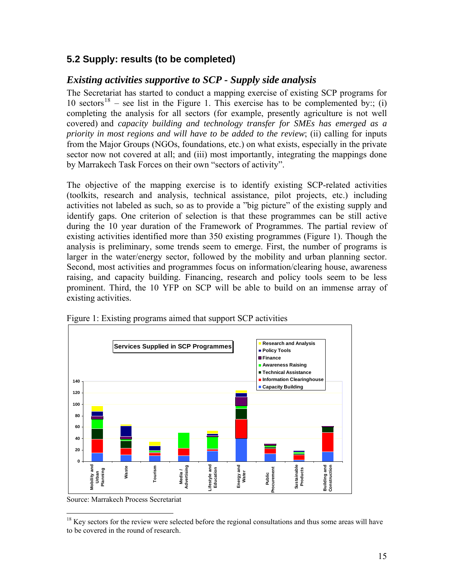## **5.2 Supply: results (to be completed)**

### *Existing activities supportive to SCP - Supply side analysis*

The Secretariat has started to conduct a mapping exercise of existing SCP programs for 10 sectors<sup>18</sup> – see list in the Figure 1. This exercise has to be complemented by:; (i) completing the analysis for all sectors (for example, presently agriculture is not well covered) and *capacity building and technology transfer for SMEs has emerged as a priority in most regions and will have to be added to the review*; (ii) calling for inputs from the Major Groups (NGOs, foundations, etc.) on what exists, especially in the private sector now not covered at all; and (iii) most importantly, integrating the mappings done by Marrakech Task Forces on their own "sectors of activity".

The objective of the mapping exercise is to identify existing SCP-related activities (toolkits, research and analysis, technical assistance, pilot projects, etc.) including activities not labeled as such, so as to provide a "big picture" of the existing supply and identify gaps. One criterion of selection is that these programmes can be still active during the 10 year duration of the Framework of Programmes. The partial review of existing activities identified more than 350 existing programmes (Figure 1). Though the analysis is preliminary, some trends seem to emerge. First, the number of programs is larger in the water/energy sector, followed by the mobility and urban planning sector. Second, most activities and programmes focus on information/clearing house, awareness raising, and capacity building. Financing, research and policy tools seem to be less prominent. Third, the 10 YFP on SCP will be able to build on an immense array of existing activities.



Figure 1: Existing programs aimed that support SCP activities

Source: Marrakech Process Secretariat

 $\overline{a}$ 

 $18$  Key sectors for the review were selected before the regional consultations and thus some areas will have to be covered in the round of research.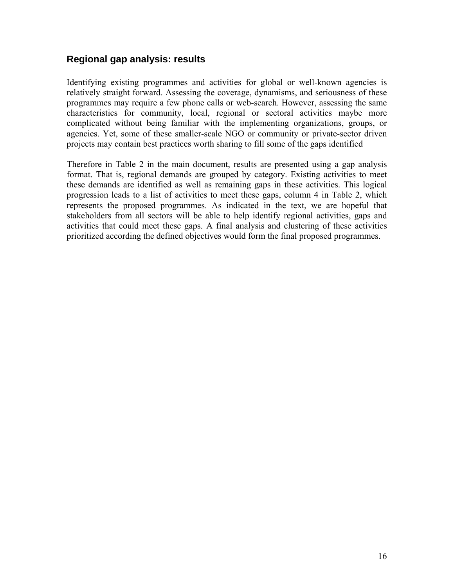### **Regional gap analysis: results**

Identifying existing programmes and activities for global or well-known agencies is relatively straight forward. Assessing the coverage, dynamisms, and seriousness of these programmes may require a few phone calls or web-search. However, assessing the same characteristics for community, local, regional or sectoral activities maybe more complicated without being familiar with the implementing organizations, groups, or agencies. Yet, some of these smaller-scale NGO or community or private-sector driven projects may contain best practices worth sharing to fill some of the gaps identified

Therefore in Table 2 in the main document, results are presented using a gap analysis format. That is, regional demands are grouped by category. Existing activities to meet these demands are identified as well as remaining gaps in these activities. This logical progression leads to a list of activities to meet these gaps, column 4 in Table 2, which represents the proposed programmes. As indicated in the text, we are hopeful that stakeholders from all sectors will be able to help identify regional activities, gaps and activities that could meet these gaps. A final analysis and clustering of these activities prioritized according the defined objectives would form the final proposed programmes.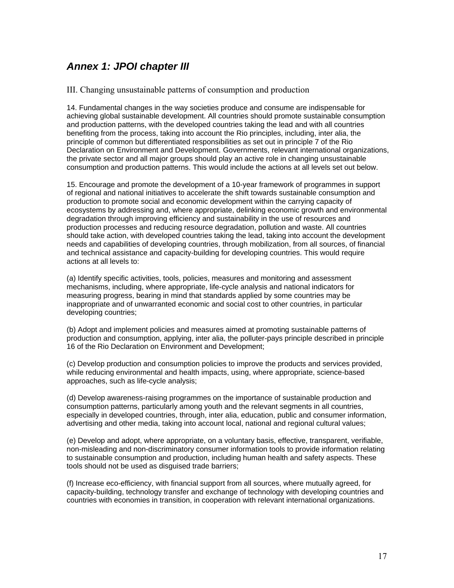## *Annex 1: JPOI chapter III*

#### III. Changing unsustainable patterns of consumption and production

14. Fundamental changes in the way societies produce and consume are indispensable for achieving global sustainable development. All countries should promote sustainable consumption and production patterns, with the developed countries taking the lead and with all countries benefiting from the process, taking into account the Rio principles, including, inter alia, the principle of common but differentiated responsibilities as set out in principle 7 of the Rio Declaration on Environment and Development. Governments, relevant international organizations, the private sector and all major groups should play an active role in changing unsustainable consumption and production patterns. This would include the actions at all levels set out below.

15. Encourage and promote the development of a 10-year framework of programmes in support of regional and national initiatives to accelerate the shift towards sustainable consumption and production to promote social and economic development within the carrying capacity of ecosystems by addressing and, where appropriate, delinking economic growth and environmental degradation through improving efficiency and sustainability in the use of resources and production processes and reducing resource degradation, pollution and waste. All countries should take action, with developed countries taking the lead, taking into account the development needs and capabilities of developing countries, through mobilization, from all sources, of financial and technical assistance and capacity-building for developing countries. This would require actions at all levels to:

(a) Identify specific activities, tools, policies, measures and monitoring and assessment mechanisms, including, where appropriate, life-cycle analysis and national indicators for measuring progress, bearing in mind that standards applied by some countries may be inappropriate and of unwarranted economic and social cost to other countries, in particular developing countries;

(b) Adopt and implement policies and measures aimed at promoting sustainable patterns of production and consumption, applying, inter alia, the polluter-pays principle described in principle 16 of the Rio Declaration on Environment and Development;

(c) Develop production and consumption policies to improve the products and services provided, while reducing environmental and health impacts, using, where appropriate, science-based approaches, such as life-cycle analysis;

(d) Develop awareness-raising programmes on the importance of sustainable production and consumption patterns, particularly among youth and the relevant segments in all countries, especially in developed countries, through, inter alia, education, public and consumer information, advertising and other media, taking into account local, national and regional cultural values;

(e) Develop and adopt, where appropriate, on a voluntary basis, effective, transparent, verifiable, non-misleading and non-discriminatory consumer information tools to provide information relating to sustainable consumption and production, including human health and safety aspects. These tools should not be used as disguised trade barriers;

(f) Increase eco-efficiency, with financial support from all sources, where mutually agreed, for capacity-building, technology transfer and exchange of technology with developing countries and countries with economies in transition, in cooperation with relevant international organizations.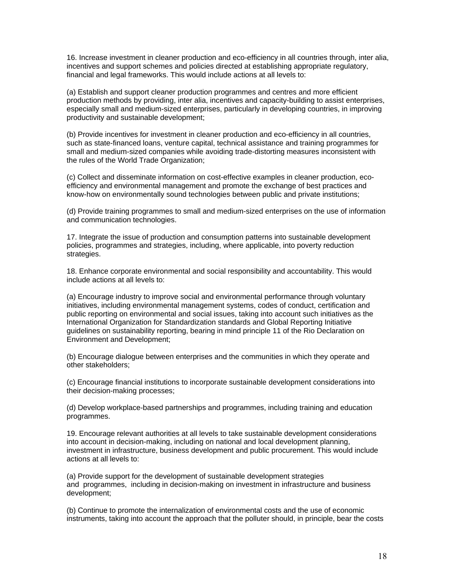16. Increase investment in cleaner production and eco-efficiency in all countries through, inter alia, incentives and support schemes and policies directed at establishing appropriate regulatory, financial and legal frameworks. This would include actions at all levels to:

(a) Establish and support cleaner production programmes and centres and more efficient production methods by providing, inter alia, incentives and capacity-building to assist enterprises, especially small and medium-sized enterprises, particularly in developing countries, in improving productivity and sustainable development;

(b) Provide incentives for investment in cleaner production and eco-efficiency in all countries, such as state-financed loans, venture capital, technical assistance and training programmes for small and medium-sized companies while avoiding trade-distorting measures inconsistent with the rules of the World Trade Organization;

(c) Collect and disseminate information on cost-effective examples in cleaner production, ecoefficiency and environmental management and promote the exchange of best practices and know-how on environmentally sound technologies between public and private institutions;

(d) Provide training programmes to small and medium-sized enterprises on the use of information and communication technologies.

17. Integrate the issue of production and consumption patterns into sustainable development policies, programmes and strategies, including, where applicable, into poverty reduction strategies.

18. Enhance corporate environmental and social responsibility and accountability. This would include actions at all levels to:

(a) Encourage industry to improve social and environmental performance through voluntary initiatives, including environmental management systems, codes of conduct, certification and public reporting on environmental and social issues, taking into account such initiatives as the International Organization for Standardization standards and Global Reporting Initiative guidelines on sustainability reporting, bearing in mind principle 11 of the Rio Declaration on Environment and Development;

(b) Encourage dialogue between enterprises and the communities in which they operate and other stakeholders;

(c) Encourage financial institutions to incorporate sustainable development considerations into their decision-making processes;

(d) Develop workplace-based partnerships and programmes, including training and education programmes.

19. Encourage relevant authorities at all levels to take sustainable development considerations into account in decision-making, including on national and local development planning, investment in infrastructure, business development and public procurement. This would include actions at all levels to:

(a) Provide support for the development of sustainable development strategies and programmes, including in decision-making on investment in infrastructure and business development;

(b) Continue to promote the internalization of environmental costs and the use of economic instruments, taking into account the approach that the polluter should, in principle, bear the costs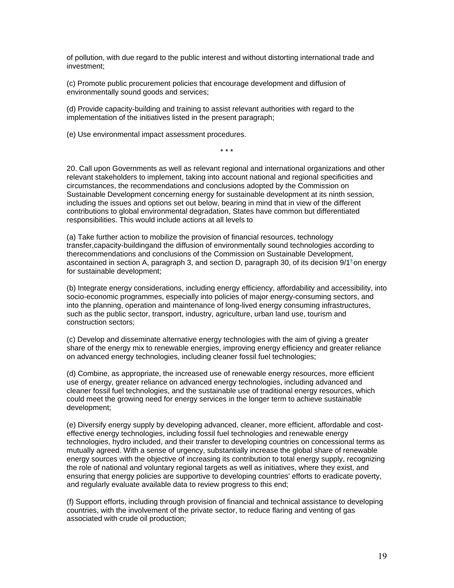of pollution, with due regard to the public interest and without distorting international trade and investment;

(c) Promote public procurement policies that encourage development and diffusion of environmentally sound goods and services;

(d) Provide capacity-building and training to assist relevant authorities with regard to the implementation of the initiatives listed in the present paragraph;

(e) Use environmental impact assessment procedures.

20. Call upon Governments as well as relevant regional and international organizations and other relevant stakeholders to implement, taking into account national and regional specificities and circumstances, the recommendations and conclusions adopted by the Commission on Sustainable Development concerning energy for sustainable development at its ninth session, including the issues and options set out below, bearing in mind that in view of the different contributions to global environmental degradation, States have common but differentiated responsibilities. This would include actions at all levels to

\* \* \*

(a) Take further action to mobilize the provision of financial resources, technology transfer,capacity-buildingand the diffusion of environmentally sound technologies according to therecommendations and conclusions of the Commission on Sustainable Development, ascontained in section A, paragraph 3, and section D, paragraph 30, of its decision 9/1<sup>9</sup> on energy for sustainable development;

(b) Integrate energy considerations, including energy efficiency, affordability and accessibility, into socio-economic programmes, especially into policies of major energy-consuming sectors, and into the planning, operation and maintenance of long-lived energy consuming infrastructures, such as the public sector, transport, industry, agriculture, urban land use, tourism and construction sectors;

(c) Develop and disseminate alternative energy technologies with the aim of giving a greater share of the energy mix to renewable energies, improving energy efficiency and greater reliance on advanced energy technologies, including cleaner fossil fuel technologies;

(d) Combine, as appropriate, the increased use of renewable energy resources, more efficient use of energy, greater reliance on advanced energy technologies, including advanced and cleaner fossil fuel technologies, and the sustainable use of traditional energy resources, which could meet the growing need for energy services in the longer term to achieve sustainable development;

(e) Diversify energy supply by developing advanced, cleaner, more efficient, affordable and costeffective energy technologies, including fossil fuel technologies and renewable energy technologies, hydro included, and their transfer to developing countries on concessional terms as mutually agreed. With a sense of urgency, substantially increase the global share of renewable energy sources with the objective of increasing its contribution to total energy supply, recognizing the role of national and voluntary regional targets as well as initiatives, where they exist, and ensuring that energy policies are supportive to developing countries' efforts to eradicate poverty, and regularly evaluate available data to review progress to this end;

(f) Support efforts, including through provision of financial and technical assistance to developing countries, with the involvement of the private sector, to reduce flaring and venting of gas associated with crude oil production;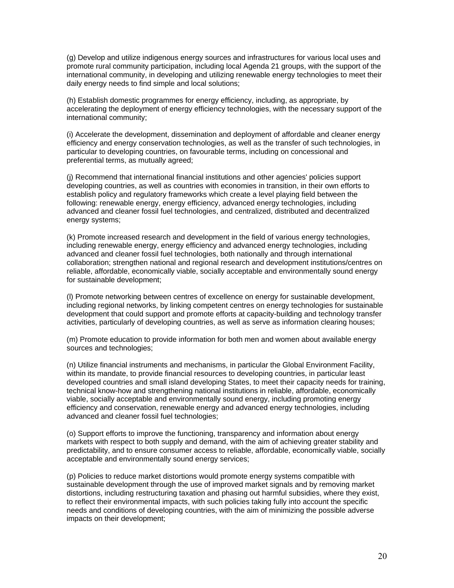(g) Develop and utilize indigenous energy sources and infrastructures for various local uses and promote rural community participation, including local Agenda 21 groups, with the support of the international community, in developing and utilizing renewable energy technologies to meet their daily energy needs to find simple and local solutions;

(h) Establish domestic programmes for energy efficiency, including, as appropriate, by accelerating the deployment of energy efficiency technologies, with the necessary support of the international community;

(i) Accelerate the development, dissemination and deployment of affordable and cleaner energy efficiency and energy conservation technologies, as well as the transfer of such technologies, in particular to developing countries, on favourable terms, including on concessional and preferential terms, as mutually agreed;

(j) Recommend that international financial institutions and other agencies' policies support developing countries, as well as countries with economies in transition, in their own efforts to establish policy and regulatory frameworks which create a level playing field between the following: renewable energy, energy efficiency, advanced energy technologies, including advanced and cleaner fossil fuel technologies, and centralized, distributed and decentralized energy systems;

(k) Promote increased research and development in the field of various energy technologies, including renewable energy, energy efficiency and advanced energy technologies, including advanced and cleaner fossil fuel technologies, both nationally and through international collaboration; strengthen national and regional research and development institutions/centres on reliable, affordable, economically viable, socially acceptable and environmentally sound energy for sustainable development;

(l) Promote networking between centres of excellence on energy for sustainable development, including regional networks, by linking competent centres on energy technologies for sustainable development that could support and promote efforts at capacity-building and technology transfer activities, particularly of developing countries, as well as serve as information clearing houses;

(m) Promote education to provide information for both men and women about available energy sources and technologies;

(n) Utilize financial instruments and mechanisms, in particular the Global Environment Facility, within its mandate, to provide financial resources to developing countries, in particular least developed countries and small island developing States, to meet their capacity needs for training, technical know-how and strengthening national institutions in reliable, affordable, economically viable, socially acceptable and environmentally sound energy, including promoting energy efficiency and conservation, renewable energy and advanced energy technologies, including advanced and cleaner fossil fuel technologies;

(o) Support efforts to improve the functioning, transparency and information about energy markets with respect to both supply and demand, with the aim of achieving greater stability and predictability, and to ensure consumer access to reliable, affordable, economically viable, socially acceptable and environmentally sound energy services;

(p) Policies to reduce market distortions would promote energy systems compatible with sustainable development through the use of improved market signals and by removing market distortions, including restructuring taxation and phasing out harmful subsidies, where they exist, to reflect their environmental impacts, with such policies taking fully into account the specific needs and conditions of developing countries, with the aim of minimizing the possible adverse impacts on their development;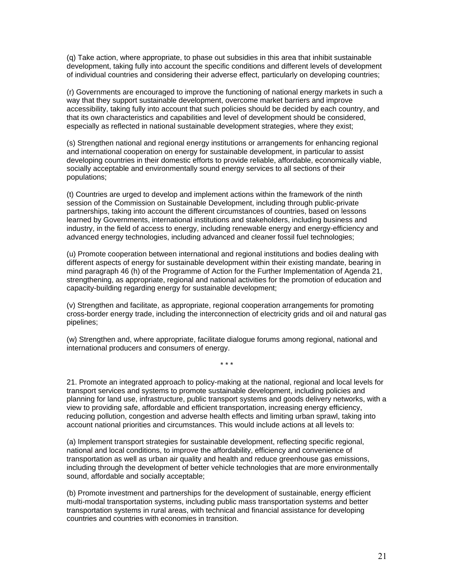(q) Take action, where appropriate, to phase out subsidies in this area that inhibit sustainable development, taking fully into account the specific conditions and different levels of development of individual countries and considering their adverse effect, particularly on developing countries;

(r) Governments are encouraged to improve the functioning of national energy markets in such a way that they support sustainable development, overcome market barriers and improve accessibility, taking fully into account that such policies should be decided by each country, and that its own characteristics and capabilities and level of development should be considered, especially as reflected in national sustainable development strategies, where they exist;

(s) Strengthen national and regional energy institutions or arrangements for enhancing regional and international cooperation on energy for sustainable development, in particular to assist developing countries in their domestic efforts to provide reliable, affordable, economically viable, socially acceptable and environmentally sound energy services to all sections of their populations;

(t) Countries are urged to develop and implement actions within the framework of the ninth session of the Commission on Sustainable Development, including through public-private partnerships, taking into account the different circumstances of countries, based on lessons learned by Governments, international institutions and stakeholders, including business and industry, in the field of access to energy, including renewable energy and energy-efficiency and advanced energy technologies, including advanced and cleaner fossil fuel technologies;

(u) Promote cooperation between international and regional institutions and bodies dealing with different aspects of energy for sustainable development within their existing mandate, bearing in mind paragraph 46 (h) of the Programme of Action for the Further Implementation of Agenda 21, strengthening, as appropriate, regional and national activities for the promotion of education and capacity-building regarding energy for sustainable development;

(v) Strengthen and facilitate, as appropriate, regional cooperation arrangements for promoting cross-border energy trade, including the interconnection of electricity grids and oil and natural gas pipelines;

(w) Strengthen and, where appropriate, facilitate dialogue forums among regional, national and international producers and consumers of energy.

\* \* \*

21. Promote an integrated approach to policy-making at the national, regional and local levels for transport services and systems to promote sustainable development, including policies and planning for land use, infrastructure, public transport systems and goods delivery networks, with a view to providing safe, affordable and efficient transportation, increasing energy efficiency, reducing pollution, congestion and adverse health effects and limiting urban sprawl, taking into account national priorities and circumstances. This would include actions at all levels to:

(a) Implement transport strategies for sustainable development, reflecting specific regional, national and local conditions, to improve the affordability, efficiency and convenience of transportation as well as urban air quality and health and reduce greenhouse gas emissions, including through the development of better vehicle technologies that are more environmentally sound, affordable and socially acceptable;

(b) Promote investment and partnerships for the development of sustainable, energy efficient multi-modal transportation systems, including public mass transportation systems and better transportation systems in rural areas, with technical and financial assistance for developing countries and countries with economies in transition.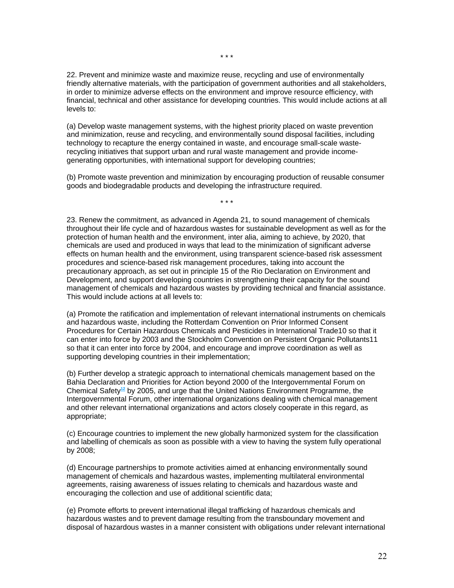\* \* \*

22. Prevent and minimize waste and maximize reuse, recycling and use of environmentally friendly alternative materials, with the participation of government authorities and all stakeholders, in order to minimize adverse effects on the environment and improve resource efficiency, with financial, technical and other assistance for developing countries. This would include actions at all levels to:

(a) Develop waste management systems, with the highest priority placed on waste prevention and minimization, reuse and recycling, and environmentally sound disposal facilities, including technology to recapture the energy contained in waste, and encourage small-scale wasterecycling initiatives that support urban and rural waste management and provide incomegenerating opportunities, with international support for developing countries;

(b) Promote waste prevention and minimization by encouraging production of reusable consumer goods and biodegradable products and developing the infrastructure required.

\* \* \*

23. Renew the commitment, as advanced in Agenda 21, to sound management of chemicals throughout their life cycle and of hazardous wastes for sustainable development as well as for the protection of human health and the environment, inter alia, aiming to achieve, by 2020, that chemicals are used and produced in ways that lead to the minimization of significant adverse effects on human health and the environment, using transparent science-based risk assessment procedures and science-based risk management procedures, taking into account the precautionary approach, as set out in principle 15 of the Rio Declaration on Environment and Development, and support developing countries in strengthening their capacity for the sound management of chemicals and hazardous wastes by providing technical and financial assistance. This would include actions at all levels to:

(a) Promote the ratification and implementation of relevant international instruments on chemicals and hazardous waste, including the Rotterdam Convention on Prior Informed Consent Procedures for Certain Hazardous Chemicals and Pesticides in International Trade10 so that it can enter into force by 2003 and the Stockholm Convention on Persistent Organic Pollutants11 so that it can enter into force by 2004, and encourage and improve coordination as well as supporting developing countries in their implementation;

(b) Further develop a strategic approach to international chemicals management based on the Bahia Declaration and Priorities for Action beyond 2000 of the Intergovernmental Forum on Chemical Safety<sup>12</sup> by 2005, and urge that the United Nations Environment Programme, the Intergovernmental Forum, other international organizations dealing with chemical management and other relevant international organizations and actors closely cooperate in this regard, as appropriate;

(c) Encourage countries to implement the new globally harmonized system for the classification and labelling of chemicals as soon as possible with a view to having the system fully operational by 2008;

(d) Encourage partnerships to promote activities aimed at enhancing environmentally sound management of chemicals and hazardous wastes, implementing multilateral environmental agreements, raising awareness of issues relating to chemicals and hazardous waste and encouraging the collection and use of additional scientific data;

(e) Promote efforts to prevent international illegal trafficking of hazardous chemicals and hazardous wastes and to prevent damage resulting from the transboundary movement and disposal of hazardous wastes in a manner consistent with obligations under relevant international